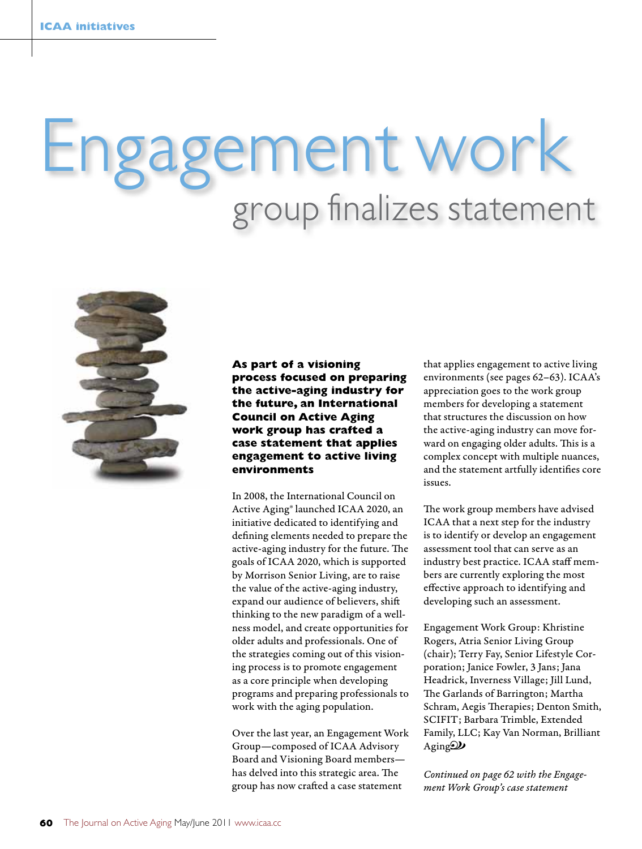# Engagement work group finalizes statement



**As part of a visioning process focused on preparing the active-aging industry for the future, an International Council on Active Aging work group has crafted a case statement that applies engagement to active living environments**

In 2008, the International Council on Active Aging® launched ICAA 2020, an initiative dedicated to identifying and defining elements needed to prepare the active-aging industry for the future. The goals of ICAA 2020, which is supported by Morrison Senior Living, are to raise the value of the active-aging industry, expand our audience of believers, shift thinking to the new paradigm of a wellness model, and create opportunities for older adults and professionals. One of the strategies coming out of this visioning process is to promote engagement as a core principle when developing programs and preparing professionals to work with the aging population.

Over the last year, an Engagement Work Group—composed of ICAA Advisory Board and Visioning Board members has delved into this strategic area. The group has now crafted a case statement

that applies engagement to active living environments (see pages 62–63). ICAA's appreciation goes to the work group members for developing a statement that structures the discussion on how the active-aging industry can move forward on engaging older adults. This is a complex concept with multiple nuances, and the statement artfully identifies core issues.

The work group members have advised ICAA that a next step for the industry is to identify or develop an engagement assessment tool that can serve as an industry best practice. ICAA staff members are currently exploring the most effective approach to identifying and developing such an assessment.

Engagement Work Group: Khristine Rogers, Atria Senior Living Group (chair); Terry Fay, Senior Lifestyle Corporation; Janice Fowler, 3 Jans; Jana Headrick, Inverness Village; Jill Lund, The Garlands of Barrington; Martha Schram, Aegis Therapies; Denton Smith, SCIFIT; Barbara Trimble, Extended Family, LLC; Kay Van Norman, Brilliant Aging $\mathcal{D}$ 

*Continued on page 62 with the Engagement Work Group's case statement*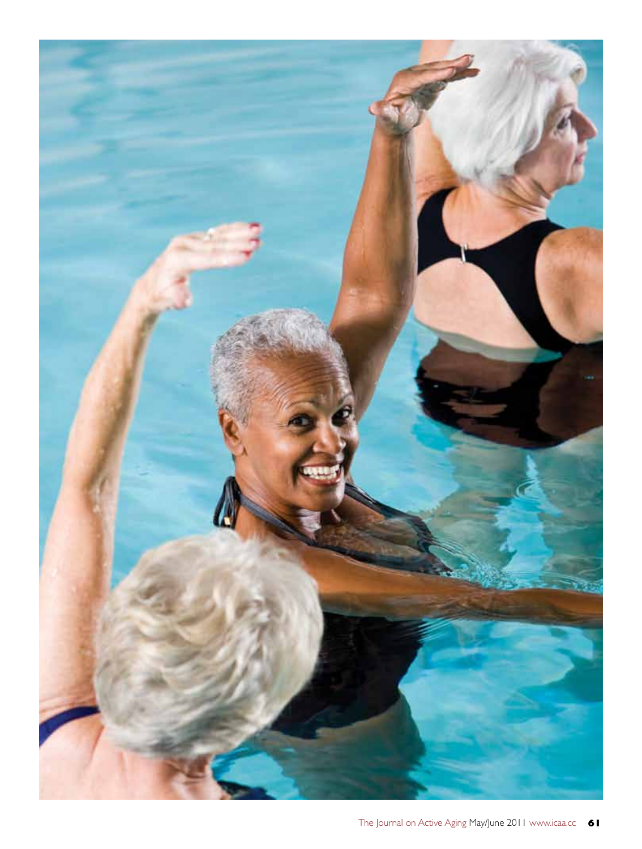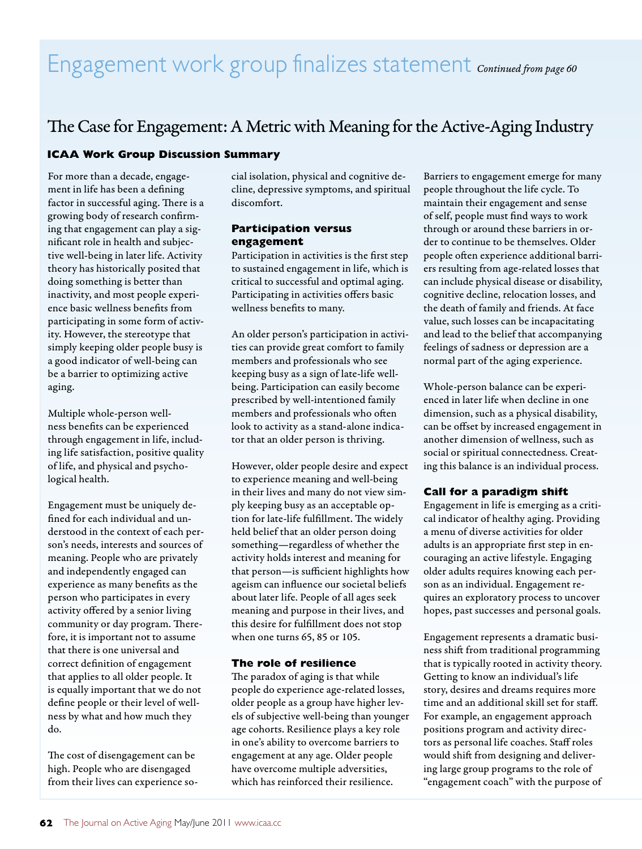## The Case for Engagement: A Metric with Meaning for the Active-Aging Industry

### **ICAA Work Group Discussion Summary**

For more than a decade, engagement in life has been a defining factor in successful aging. There is a growing body of research confirming that engagement can play a significant role in health and subjective well-being in later life. Activity theory has historically posited that doing something is better than inactivity, and most people experience basic wellness benefits from participating in some form of activity. However, the stereotype that simply keeping older people busy is a good indicator of well-being can be a barrier to optimizing active aging.

Multiple whole-person wellness benefits can be experienced through engagement in life, including life satisfaction, positive quality of life, and physical and psychological health.

Engagement must be uniquely defined for each individual and understood in the context of each person's needs, interests and sources of meaning. People who are privately and independently engaged can experience as many benefits as the person who participates in every activity offered by a senior living community or day program. Therefore, it is important not to assume that there is one universal and correct definition of engagement that applies to all older people. It is equally important that we do not define people or their level of wellness by what and how much they do.

The cost of disengagement can be high. People who are disengaged from their lives can experience social isolation, physical and cognitive decline, depressive symptoms, and spiritual discomfort.

### **Participation versus engagement**

Participation in activities is the first step to sustained engagement in life, which is critical to successful and optimal aging. Participating in activities offers basic wellness benefits to many.

An older person's participation in activities can provide great comfort to family members and professionals who see keeping busy as a sign of late-life wellbeing. Participation can easily become prescribed by well-intentioned family members and professionals who often look to activity as a stand-alone indicator that an older person is thriving.

However, older people desire and expect to experience meaning and well-being in their lives and many do not view simply keeping busy as an acceptable option for late-life fulfillment. The widely held belief that an older person doing something—regardless of whether the activity holds interest and meaning for that person—is sufficient highlights how ageism can influence our societal beliefs about later life. People of all ages seek meaning and purpose in their lives, and this desire for fulfillment does not stop when one turns 65, 85 or 105.

### **The role of resilience**

The paradox of aging is that while people do experience age-related losses, older people as a group have higher levels of subjective well-being than younger age cohorts. Resilience plays a key role in one's ability to overcome barriers to engagement at any age. Older people have overcome multiple adversities, which has reinforced their resilience.

Barriers to engagement emerge for many people throughout the life cycle. To maintain their engagement and sense of self, people must find ways to work through or around these barriers in order to continue to be themselves. Older people often experience additional barriers resulting from age-related losses that can include physical disease or disability, cognitive decline, relocation losses, and the death of family and friends. At face value, such losses can be incapacitating and lead to the belief that accompanying feelings of sadness or depression are a normal part of the aging experience.

Whole-person balance can be experienced in later life when decline in one dimension, such as a physical disability, can be offset by increased engagement in another dimension of wellness, such as social or spiritual connectedness. Creating this balance is an individual process.

### **Call for a paradigm shift**

Engagement in life is emerging as a critical indicator of healthy aging. Providing a menu of diverse activities for older adults is an appropriate first step in encouraging an active lifestyle. Engaging older adults requires knowing each person as an individual. Engagement requires an exploratory process to uncover hopes, past successes and personal goals.

Engagement represents a dramatic business shift from traditional programming that is typically rooted in activity theory. Getting to know an individual's life story, desires and dreams requires more time and an additional skill set for staff. For example, an engagement approach positions program and activity directors as personal life coaches. Staff roles would shift from designing and delivering large group programs to the role of "engagement coach" with the purpose of